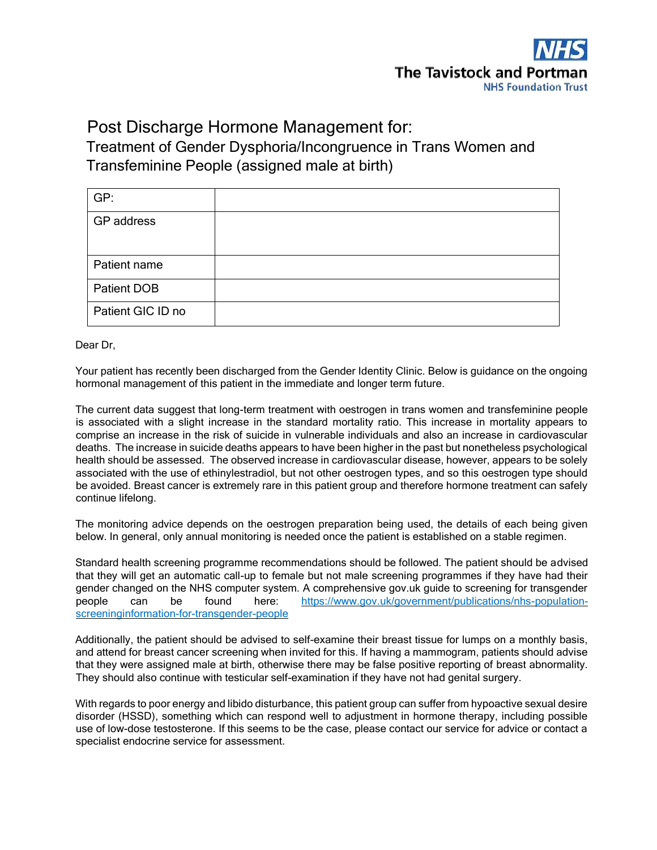

# Post Discharge Hormone Management for:

# Treatment of Gender Dysphoria/Incongruence in Trans Women and Transfeminine People (assigned male at birth)

| GP:               |  |
|-------------------|--|
| GP address        |  |
|                   |  |
| Patient name      |  |
| Patient DOB       |  |
| Patient GIC ID no |  |

Dear Dr,

Your patient has recently been discharged from the Gender Identity Clinic. Below is guidance on the ongoing hormonal management of this patient in the immediate and longer term future.

The current data suggest that long-term treatment with oestrogen in trans women and transfeminine people is associated with a slight increase in the standard mortality ratio. This increase in mortality appears to comprise an increase in the risk of suicide in vulnerable individuals and also an increase in cardiovascular deaths. The increase in suicide deaths appears to have been higher in the past but nonetheless psychological health should be assessed. The observed increase in cardiovascular disease, however, appears to be solely associated with the use of ethinylestradiol, but not other oestrogen types, and so this oestrogen type should be avoided. Breast cancer is extremely rare in this patient group and therefore hormone treatment can safely continue lifelong.

The monitoring advice depends on the oestrogen preparation being used, the details of each being given below. In general, only annual monitoring is needed once the patient is established on a stable regimen.

Standard health screening programme recommendations should be followed. The patient should be advised that they will get an automatic call-up to female but not male screening programmes if they have had their gender changed on the NHS computer system. A comprehensive gov.uk guide to screening for transgender people can be found here: [https://www.gov.uk/government/publications/nhs-population](https://www.gov.uk/government/publications/nhs-population-screening-information-for-transgender-people)[screeninginformation-for-transgender-people](https://www.gov.uk/government/publications/nhs-population-screening-information-for-transgender-people) 

Additionally, the patient should be advised to self-examine their breast tissue for lumps on a monthly basis, and attend for breast cancer screening when invited for this. If having a mammogram, patients should advise that they were assigned male at birth, otherwise there may be false positive reporting of breast abnormality. They should also continue with testicular self-examination if they have not had genital surgery.

With regards to poor energy and libido disturbance, this patient group can suffer from hypoactive sexual desire disorder (HSSD), something which can respond well to adjustment in hormone therapy, including possible use of low-dose testosterone. If this seems to be the case, please contact our service for advice or contact a specialist endocrine service for assessment.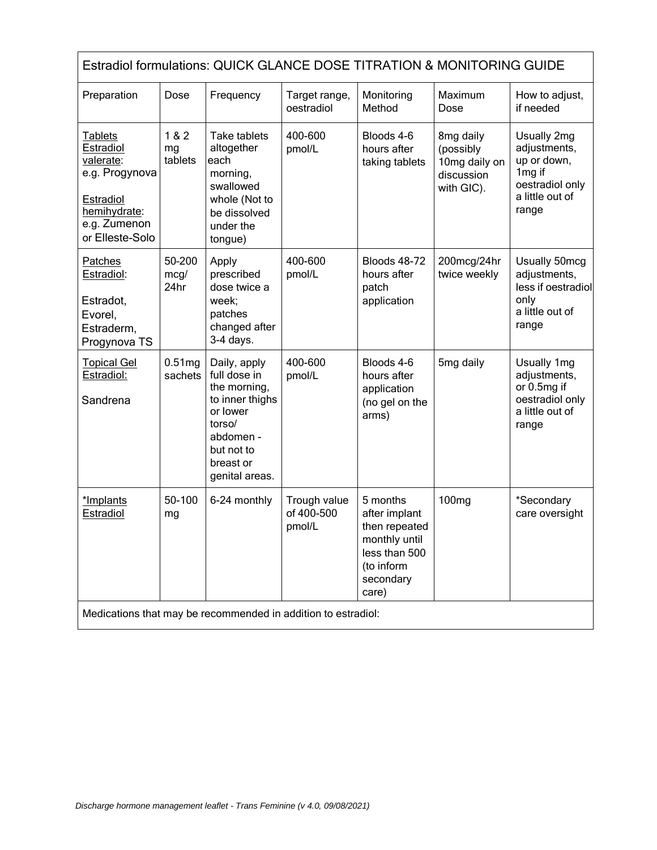| Estradiol formulations: QUICK GLANCE DOSE TITRATION & MONITORING GUIDE                                              |                               |                                                                                                                                                 |                                      |                                                                                                                  |                                                                     |                                                                                                                 |  |
|---------------------------------------------------------------------------------------------------------------------|-------------------------------|-------------------------------------------------------------------------------------------------------------------------------------------------|--------------------------------------|------------------------------------------------------------------------------------------------------------------|---------------------------------------------------------------------|-----------------------------------------------------------------------------------------------------------------|--|
| Preparation                                                                                                         | Dose                          | Frequency                                                                                                                                       | Target range,<br>oestradiol          | Monitoring<br>Method                                                                                             | Maximum<br>Dose                                                     | How to adjust,<br>if needed                                                                                     |  |
| Tablets<br>Estradiol<br>valerate:<br>e.g. Progynova<br>Estradiol<br>hemihydrate:<br>e.g. Zumenon<br>or Elleste-Solo | 1&8&2<br>mg<br>tablets        | Take tablets<br>altogether<br>each<br>morning,<br>swallowed<br>whole (Not to<br>be dissolved<br>under the<br>tongue)                            | 400-600<br>pmol/L                    | Bloods 4-6<br>hours after<br>taking tablets                                                                      | 8mg daily<br>(possibly<br>10mg daily on<br>discussion<br>with GIC). | Usually 2mg<br>adjustments,<br>up or down,<br>1 <sub>mg</sub> if<br>oestradiol only<br>a little out of<br>range |  |
| Patches<br>Estradiol:<br>Estradot,<br>Evorel,<br>Estraderm,<br>Progynova TS                                         | 50-200<br>mcg/<br>24hr        | Apply<br>prescribed<br>dose twice a<br>week;<br>patches<br>changed after<br>$3-4$ days.                                                         | 400-600<br>pmol/L                    | <b>Bloods 48-72</b><br>hours after<br>patch<br>application                                                       | 200mcg/24hr<br>twice weekly                                         | Usually 50mcg<br>adjustments,<br>less if oestradiol<br>only<br>a little out of<br>range                         |  |
| <b>Topical Gel</b><br>Estradiol:<br>Sandrena                                                                        | 0.51 <sub>mg</sub><br>sachets | Daily, apply<br>full dose in<br>the morning,<br>to inner thighs<br>or lower<br>torso/<br>abdomen -<br>but not to<br>breast or<br>genital areas. | 400-600<br>pmol/L                    | Bloods 4-6<br>hours after<br>application<br>(no gel on the<br>arms)                                              | 5mg daily                                                           | Usually 1mg<br>adjustments,<br>or 0.5mg if<br>oestradiol only<br>a little out of<br>range                       |  |
| *Implants<br>Estradiol                                                                                              | 50-100<br>mg                  | 6-24 monthly                                                                                                                                    | Trough value<br>of 400-500<br>pmol/L | 5 months<br>after implant<br>then repeated<br>monthly until<br>less than 500<br>(to inform<br>secondary<br>care) | 100 <sub>mg</sub>                                                   | *Secondary<br>care oversight                                                                                    |  |
| Medications that may be recommended in addition to estradiol:                                                       |                               |                                                                                                                                                 |                                      |                                                                                                                  |                                                                     |                                                                                                                 |  |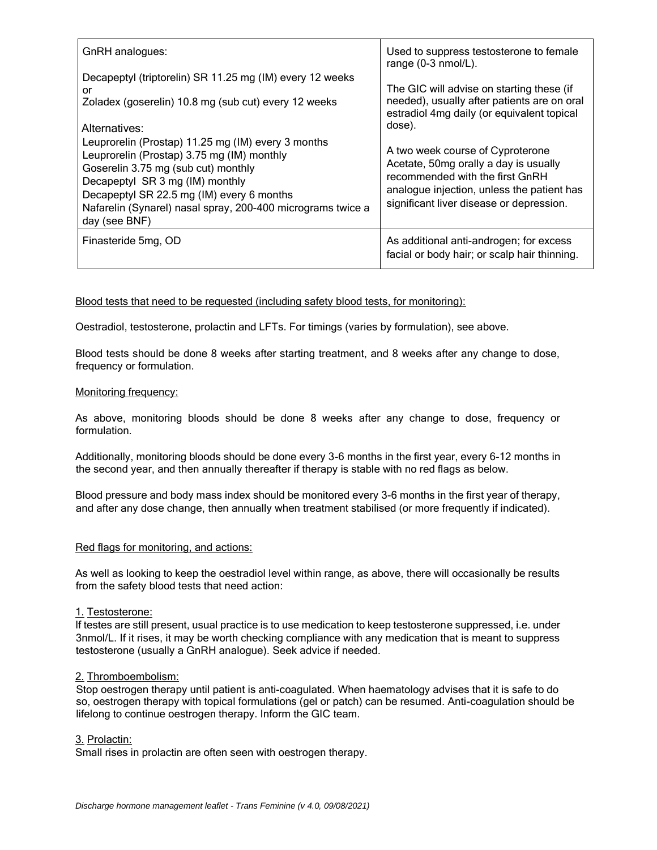| GnRH analogues:                                                                                                                                                                                                                                                                                         | Used to suppress testosterone to female<br>range (0-3 nmol/L).                                                                                                                                         |  |  |
|---------------------------------------------------------------------------------------------------------------------------------------------------------------------------------------------------------------------------------------------------------------------------------------------------------|--------------------------------------------------------------------------------------------------------------------------------------------------------------------------------------------------------|--|--|
| Decapeptyl (triptorelin) SR 11.25 mg (IM) every 12 weeks<br>or<br>Zoladex (goserelin) 10.8 mg (sub cut) every 12 weeks<br>Alternatives:                                                                                                                                                                 | The GIC will advise on starting these (if<br>needed), usually after patients are on oral<br>estradiol 4mg daily (or equivalent topical<br>dose).                                                       |  |  |
| Leuprorelin (Prostap) 11.25 mg (IM) every 3 months<br>Leuprorelin (Prostap) 3.75 mg (IM) monthly<br>Goserelin 3.75 mg (sub cut) monthly<br>Decapeptyl SR 3 mg (IM) monthly<br>Decapeptyl SR 22.5 mg (IM) every 6 months<br>Nafarelin (Synarel) nasal spray, 200-400 micrograms twice a<br>day (see BNF) | A two week course of Cyproterone<br>Acetate, 50mg orally a day is usually<br>recommended with the first GnRH<br>analogue injection, unless the patient has<br>significant liver disease or depression. |  |  |
| Finasteride 5mg, OD                                                                                                                                                                                                                                                                                     | As additional anti-androgen; for excess<br>facial or body hair; or scalp hair thinning.                                                                                                                |  |  |

## Blood tests that need to be requested (including safety blood tests, for monitoring):

Oestradiol, testosterone, prolactin and LFTs. For timings (varies by formulation), see above.

Blood tests should be done 8 weeks after starting treatment, and 8 weeks after any change to dose, frequency or formulation.

## Monitoring frequency:

As above, monitoring bloods should be done 8 weeks after any change to dose, frequency or formulation.

Additionally, monitoring bloods should be done every 3-6 months in the first year, every 6-12 months in the second year, and then annually thereafter if therapy is stable with no red flags as below.

Blood pressure and body mass index should be monitored every 3-6 months in the first year of therapy, and after any dose change, then annually when treatment stabilised (or more frequently if indicated).

## Red flags for monitoring, and actions:

As well as looking to keep the oestradiol level within range, as above, there will occasionally be results from the safety blood tests that need action:

## 1. Testosterone:

If testes are still present, usual practice is to use medication to keep testosterone suppressed, i.e. under 3nmol/L. If it rises, it may be worth checking compliance with any medication that is meant to suppress testosterone (usually a GnRH analogue). Seek advice if needed.

#### 2. Thromboembolism:

Stop oestrogen therapy until patient is anti-coagulated. When haematology advises that it is safe to do so, oestrogen therapy with topical formulations (gel or patch) can be resumed. Anti-coagulation should be lifelong to continue oestrogen therapy. Inform the GIC team.

#### 3. Prolactin:

Small rises in prolactin are often seen with oestrogen therapy.